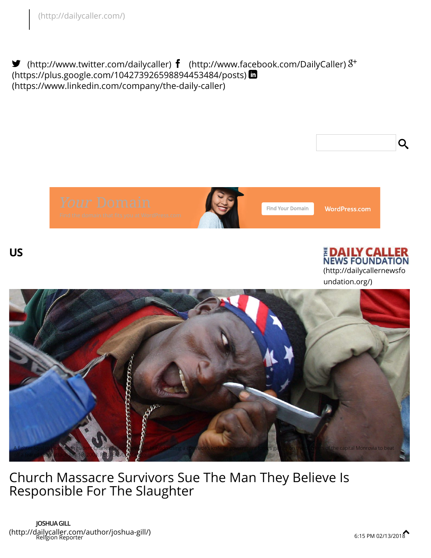<span id="page-0-0"></span> $\blacktriangleright$  [\(http://www.twitter.com/dailycaller\)](http://www.twitter.com/dailycaller)  $\bm{f}$  [\(http://www.facebook.com/DailyCaller\)](http://www.facebook.com/DailyCaller)  $8^+$ [\(https://plus.google.com/104273926598894453484/posts\)](https://plus.google.com/104273926598894453484/posts) (https://www.linkedin.com/company/the-daily-caller)





Find Your Domain

**WordPress.com** 





undation.org/)



Church Massacre Survivors Sue The Man They Believe Is Responsible For The Slaughter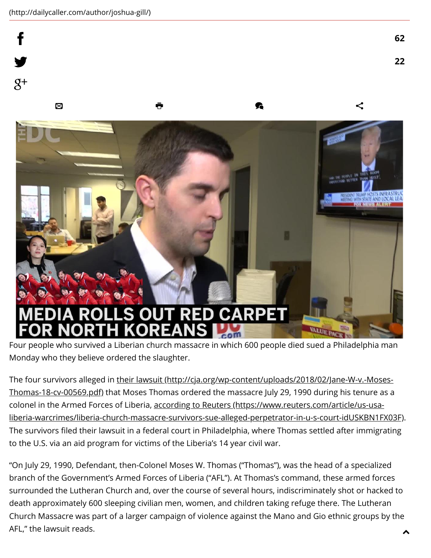f

ý

# JT RED CARPE<sup>-</sup>

Four people who survived a Liberian church massacre in which 600 people died sued a Philadelphia man Monday who they believe ordered the slaughter.

ALIn

 $\boxtimes$  and  $\blacksquare$ 

The four survivors alleged in their lawsuit [\(http://cja.org/wp-content/uploads/2018/02/Jane-W-v.-Moses-](http://cja.org/wp-content/uploads/2018/02/Jane-W-v.-Moses-Thomas-18-cv-00569.pdf)Thomas-18-cv-00569.pdf) that Moses Thomas ordered the massacre July 29, 1990 during his tenure as a colonel in the Armed Forces of Liberia, according to Reuters (https://www.reuters.com/article/us-usa[liberia-warcrimes/liberia-church-massacre-survivors-sue-alleged-perpetrator-in-u-s-court-idUSKBN1FX03F\)](https://www.reuters.com/article/us-usa-liberia-warcrimes/liberia-church-massacre-survivors-sue-alleged-perpetrator-in-u-s-court-idUSKBN1FX03F). The survivors filed their lawsuit in a federal court in Philadelphia, where Thomas settled after immigrating to the U.S. via an aid program for victims of the Liberia's 14 year civil war.

"On July 29, 1990, Defendant, then-Colonel Moses W. Thomas ("Thomas"), was the head of a specialized branch of the Government's Armed Forces of Liberia ("AFL"). At Thomas's command, these armed forces surrounded the Lutheran Church and, over the course of several hours, indiscriminately shot or hacked to death approximately 600 sleeping civilian men, women, and children taking refuge there. The Lutheran Church Massacre was part of a larger campaign of violence against the Mano and Gio ethnic groups by the AFL," the lawsuit reads.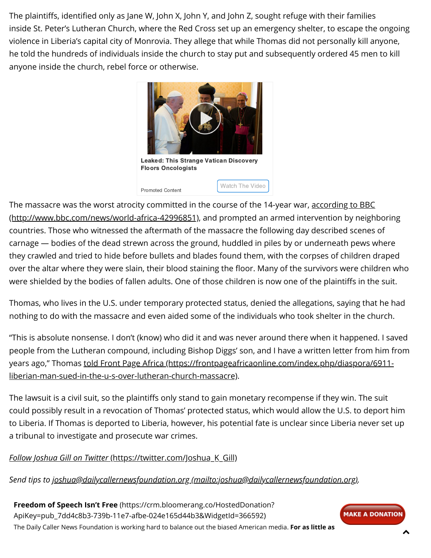The plaintiffs, identified only as Jane W, John X, John Y, and John Z, sought refuge with their families inside St. Peter's Lutheran Church, where the Red Cross set up an emergency shelter, to escape the ongoing violence in Liberia's capital city of Monrovia. They allege that while Thomas did not personally kill anyone, he told the hundreds of individuals inside the church to stay put and subsequently ordered 45 men to kill anyone inside the church, rebel force or otherwise.



The massacre was the worst atrocity committed in the course of the 14-year war, according to BBC [\(http://www.bbc.com/news/world-africa-42996851\),](http://www.bbc.com/news/world-africa-42996851) and prompted an armed intervention by neighboring countries. Those who witnessed the aftermath of the massacre the following day described scenes of carnage — bodies of the dead strewn across the ground, huddled in piles by or underneath pews where they crawled and tried to hide before bullets and blades found them, with the corpses of children draped over the altar where they were slain, their blood staining the floor. Many of the survivors were children who were shielded by the bodies of fallen adults. One of those children is now one of the plaintiffs in the suit.

Thomas, who lives in the U.S. under temporary protected status, denied the allegations, saying that he had nothing to do with the massacre and even aided some of the individuals who took shelter in the church.

"This is absolute nonsense. I don't (know) who did it and was never around there when it happened. I saved people from the Lutheran compound, including Bishop Diggs' son, and I have a written letter from him from years ago," Thomas told Front Page Africa (https://frontpageafricaonline.com/index.php/diaspora/6911[liberian-man-sued-in-the-u-s-over-lutheran-church-massacre\).](https://frontpageafricaonline.com/index.php/diaspora/6911-liberian-man-sued-in-the-u-s-over-lutheran-church-massacre)

The lawsuit is a civil suit, so the plaintiffs only stand to gain monetary recompense if they win. The suit could possibly result in a revocation of Thomas' protected status, which would allow the U.S. to deport him to Liberia. If Thomas is deported to Liberia, however, his potential fate is unclear since Liberia never set up a tribunal to investigate and prosecute war crimes.

### Follow Joshua Gill on Twitter [\(https://twitter.com/Joshua\\_K\\_Gill\)](https://twitter.com/Joshua_K_Gill)

Send tips to joshua@dailycallernewsfoundation.org [\(mailto:joshua@dailycallernewsfoundation.org\)](mailto:joshua@dailycallernewsfoundation.org).

Freedom of Speech Isn't Free (https://crm.bloomerang.co/HostedDonation? [ApiKey=pub\\_7dd4c8b3-739b-11e7-afbe-024e165d44b3&WidgetId=366592\)](https://crm.bloomerang.co/HostedDonation?ApiKey=pub_7dd4c8b3-739b-11e7-afbe-024e165d44b3&WidgetId=366592) The Daily Caller News Foundation is working hard to balance out the biased American media. For as little as

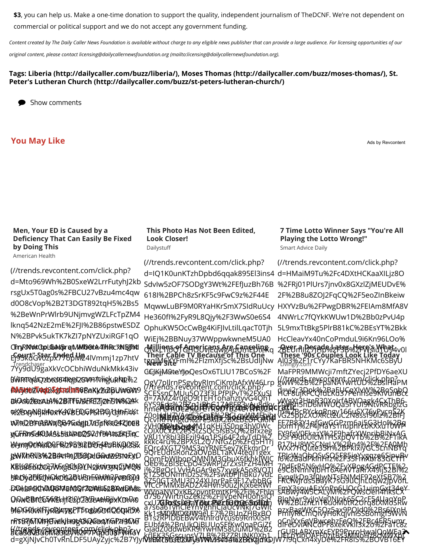\$3, you can help us. Make a one-time donation to support the quality, independent journalism of TheDCNF. We're not dependent on commercial or political support and we do not accept any government funding.

Content created by The Daily Caller News Foundation is available without charge to any eligible news publisher that can provide a large audience. For licensing opportunities of our

original content, please contact [licensing@dailycallernewsfoundation.org \(mailto:licensing@dailycallernewsfoundation.org\).](mailto:licensing@dailycallernewsfoundation.org)

### [Tags:](http://dailycaller.com/buzz/st-peters-lutheran-church/) [Liberia \(http://dailycaller.com/buzz/liberia/](http://dailycaller.com/buzz/liberia/)[\), M](http://dailycaller.com/buzz/st-peters-lutheran-church/)[oses Thomas \(http://dailycaller.com/buzz/moses-thomas/\)](http://dailycaller.com/buzz/moses-thomas/)[, St.](http://dailycaller.com/buzz/st-peters-lutheran-church/) Peter's Lutheran Church (http://dailycaller.com/buzz/st-peters-lutheran-church/)

Show comments

### You May Like

Ads by Revcontent

### Men, Your ED is Caused by a Deficiency That Can Easily Be Fixed by Doing This

American Health

(//trends.revcontent.com/click.php? d=Mto969Wh%2B0SxeW2LrrFutyhJ2kb rsgUx5T0ag0s%2FBCU27vBzu4mc4qw d0O8cVop%2B2T3DGT892tqH5%2Bs5 %2BeWnPrWlrb9UNjmvgWZLFcTpZM4 lknq542NzE2mE%2FJI%2B86pstwESDZ N%2BPvk5ukTK7kZI7pNYZUxiRGF1qO CiryRMotCtoLGastorgtMMl0@rA4THRcXNfgTMI Œ**ryRMøtŒpLGast5rqtMM00rA4lHRcXNfglidi**<br>Ef9skd"GVOZpx7966MB4IVmmj1zp7htV \_frendchaser<br>7Yy9dU9gaXkVcOCbhiWduNkMkk43iv gwtrenodrozewcoextleypt2sswm7rthigkukN12%2 **AA5delWqD&gloriinB8RaXy%2BUix6Xt9** DrA%2BzAbi%2BifTwScFEZjZhSW%2F aIOsbfkezuA%2BTFEMFETTceTiN8GAk %YEOng/WBRI4O&K4/CBEDQ6%2BQ/GjfnFi4Kt w7mDB'F6A8WqQB4Gxdgp7x1Tpf\K&64Z10@8 gGFRINGARUXS55tLNPBQSVdY9IA&SEFJiqC WymIO0WzIDQFB12PB912B9D64P9BKQR353X jzWMtRNB%2B4e4ngj75sgjadGwuw9370xXO XE%26Kki2OQ7kVxgBObj9YH2jkWV3XN2jMQN 5PCGY2F6QMAXOG2BUENFMM%12F0BF0JY <u>POGIAHHKHADQAMQFZDYNUSZBXWDHUS</u> OQwCBfCG56KELHFCiQYZYZcA<del>chD</del>plxKDrDx0 9Ie1H0wlhyRBATKcTT1du0OCCQkDX MOG0lrKfTjcDJnygPTSogbOrdQ6tpF9A rRT&Rj&TMFjBvakJbl9g&&QQ&qYGPzf3QVT H*L*IGAQEWENGBLANIGOFTXENGLAPFPHTOV

### This Photo Has Not Been Edited, Look Closer! **Dailystuff**

(//trends.revcontent.com/click.php? d=IQ1K0unKTzhDpbd6qqak895El3ins4 SdvIw5zOF7SODgY3Wt%2FEfJuzBh76B 618I%2BPCh8zSrKF5c9FwC9z%2F44E MqwwLuBF9M0RYaHKrSmX7SIdRuUcy He360fI%2FyR9L8Qjy%2F3WwS0e6S4 OphuKW5OcCwBg4KiFJIvLtilLqacT0Tjh WiEj%2BBNuy37WWppwkwneM5UA0 Millions of Americans Are Ganceling Their Cable TV Because of This One<br>tggJM6YYFmI%2FIzmXfjSc%2BsUdIjNw CCJKjM9teYJoQesOx6TLIU17BCoS%2F Money News Tips **RI<del>S</del>IA, 24 F.** 

W46I rn SCESsnCMUu5O73f3LPfPIPvT%2FXuSl 6YS95dz%2BZn1iRbG17A8FR3vAu8dky ZOoHN HZVA9tE26FDFBi2 BSJ.QVWAQEbihH zVH**QRRhp2xp4**M1qKHj3S0ng3hV0Wc V8U1Y8bI3BFzil94q1PSi64F2dyTdD%2 FQrc4XGT79MS3qYRNE5ev7KEkmrDr QpmFbWJbopQMNJM3GbuX6fkhkIWJC j%2BgOcLVyHAGAr9eS7xygkA5o8VQTJ aZ50GT3MU3D24XUprPaE9F1ZvbbBG WYpaNYQxKB2pyntPmtKP%2Fi%2Fhlq cxU**7ZRx3siX3aYObtzBZrfQQ06Sp7lQm** Kk1sMOWCXUW9eLE7%2BUnZHBxBO EUbf4%2BnUkQjBUUoSFfKw0naPGiZf acabuvbuuluusjeyvoori Pyyuusi Yyuu Yulista SSGscuosV7LB%2BZZRUNK0Xb1 UPPOYDOAFFD2itB35MNb1998CMWXB7<br>[d=gXjNJvCh0TvRnLDF5UAyZyjc%2B7YJyf](http://trends.revcontent.com/click.php?d=gXjNJvCh0TvRnLDF5UAyZyjc%2B7YJyfvsERTMLRfkMUWNLssvb4iaxFRvzid1DJW7I9qCxn4xyDe%2FR8IS%2BOVB16EY7uo37P7cxcsHVVdY3A0dCbTnjv2LrvxZIP%2Fgi1XVtsEsrMw%2FbvOHzj4UuFzpL%2BcmgL%2B5F%2FZozbnxJr%2F6eg1N0P5xfkmcYFsHFV99Jg1VDI%2FD0izlKtjS2O6y56%2BttJsimv%2Bqmb23IeFFu2QK3HHp5fKFv9EOqhpPAJ5kG4rVvzMf%2FuJlVjj4sS1m%2BWDZccToGCTHPAVypP9Dyv2ZMuXl4%2FNaVXz0hR595mduXVzpZMofwI%2Bi3Pmh%2BwTyWfUB0BYzEJIuR1dV8ULtudwjRzn7KugHF%2BB3XqPIYPFld2pJLlLEoxwK7P3bqekXSEAqHx1vySWMWQ0E2hz058HUMrUkUSWQSXAuJ9WpewqL%2Ff98BFcE%2FtEtEtar8c6kYh1197YEDt7FpGPExpCf4388nr080BcpHtojErQRFYWzC95aNQ96ip6sIdH%2FYmBTa8I33CQL2Ozce%2FloQUlyKj3EFCPekWblwmzqsCV850GNOmEfxuDagGpbFO9OpyPi5VVg68dZjWvGFp2ou0BhehZYhLY%3D)**vsEMcBb3ELXAy3VW\434464%2BckggnlG**JW7l9qCxn4xyDe%2FR8IS%2BOVB16EY (//trends.revcontent.com/click.php? d=7AMZ4r0gO9tTEH1ohahztyvG4QhT hme**FlualDe2%2FEYR9DYBz4eYtVeU2H**C QcvfRHVMgtd%2Fe9kaX2BXLbEDFGf6N cOJX0CxZc2eS5tZSQc5IsBSQ%2Bfxzeg kkkc4ru%2BPXsL2Q7NfGZp%2Fq5H1rj 9QrEUdIsRonZaOVpBL1aKV4teqI1gex Oeb%2BI3ECpO45wRPJZrZxstFZH4MH g1ZSOONmhDzSz%2FswtbPJhBku7vdL VfCcPMMxBADZX4Hvh90uZJKjx6eRWf d7S67WirtnGZeklz%2FIJVpeNH0ohsIQ' a7s6a6TyhCieYnVgnhCjaUcVNkj7GWIt B1szRPIDbEBwV4tnlrdVcus69RmXiSH GjadZ0ddwbKR9iYwHM58UuMD%2B2 Adam Schi Hiyroot Baay Democratic Memo Contains the Charles and **Methods64** Glossier You Perfume Solidi **\$240 Y.A. COSSIER!** 

### 7 Time Lotto Winner Says "You're All Playing the Lotto Wrong!"

Smart Advice Daily

(//trends.revcontent.com/click.php? d=HMaiM9Tu%2Fc4DXtHCKaaXILjz8O %2FRj01PlUrs7jnv0x8GXzlZjMEUDvE% 2F%2B8u8ZOJ2FqCQ%2F5eoZInBkeiw HXYVzBu%2FPwgDBR%2FEIAm8MfA8V 4NWrLc7fQYkKWUw1D%2Bb0zPvU4p 5L9mxTtBkg5PlrB81kC%2BEsYT%2Bkk HcCleavYx40nCoPmduL9i6Kn96LOo% 2BEUmIRSTERD Later Merris Whod 4v01 Ąļ03%2E1rCYy7KaFBR5NHKMc6SByU MaFPR9MMWcji7mftZYecj2PfDY6aeXU gwW%2B%2FpaNAYwrtUD%2BslHaPM (//trends.revcontent.com/click.php? [HCF8ujKFCQfdLKd37Penhse9KiVunBcc](http://trends.revcontent.com/click.php?d=HMaiM9Tu%2Fc4DXtHCKaaXILjz8O%2FRj01PlUrs7jnv0x8GXzlZjMEUDvE%2F%2B8u8ZOJ2FqCQ%2F5eoZInBkeiwHXYVzBu%2FPwgDBR%2FEIAm8MfA8V4NWrLc7fQYkKWUw1D%2Bb0zPvU4p5L9mxTtBkg5PlrB81kC%2BEsYT%2BkkHcCleavYx40nCoPmduL9i6Kn96LOo%2BEUmIiZ7JHp%2F3B%2FWsiuTU94v0lAl03%2F1rCYy7KaFBR5NHKMc6SByUMaFPR9MMWcji7mftZYecj2PfDY6aeXUgwW%2B%2FpaNAYwrtUD%2BslHaPMHCF8ujKFCQfdLKd37Penhse9KiVunBcctTwRh5nD6MWUQa5rYUI9NtvRRbgIzGvG25ppZXOXRct2uC2N8ssf90lz%2BIFJpom1j%2F4jHaYs1nupnrcbKXxu10WPD5rY9d0UicMTHSxpQV1b%2B%2F1ikAWXx7HQute35h%2BPkIxiyGC5LnNBYqI6%2BadPklhHfz%2F35FmXbr83GCTfTe9C8NnnNJbHT6AenVTaRrX49ijS2Bi%2FRCfwJrds5BayK7sG9uCjhL0qw2JpVofLsABwy4w5CALyM%2FQwsOeh4hksCXW%2BuznLnT6uoM0tR2Urq8tXMoSRwPmIyRiCmQivyH6KqjvhiSSBomgf5WvNdIFeDviANCdPF8xekVkiI3x2o%2FaTc8zUELpYlbOAFF0zjtBs3MNoHz8cMWXpJXOfqKvU3lRcDJg2UW%2BuEfmcrRSiw07kCinJfyOrTErhLHNObqOdQHNIF14EGNXimlxhB5UrjNC2SqHyJDZycsC9zZEbcz5fTcsF7ymP%2FOXNDKyzR9%2FFxpDn2l5pDuXTccl6dkIUGdDtgNLy%2F5LcZvGG86ol%2FfK9PF8lggMkSG%2FZJg%3D) tTwRh5nD6MWUQa5rYUI9NtvRRbgIzG vG25ppZXOXRct2uC2N8ssf90lz%2BIFJ pom1j%2F4jHaYs1muphrcbRXxv10WPI D57Y9d0U1CMTHSxpQV1b%2B%2F11kA WXX7HQUte35H%2BPkIXiyGC5ChNBYq' I6%2BadPklhHfz%2F35FmXbr83GCTfT e9C8NnnNJbHT6AenVTaRrX49ijS2Bi%2 FRC#WJrds5BayR7sG9UCJhL6qW2JpVofL sABwy4w5CALyM%2FQWsOeH4hksCX' W%2BuznLnT6uoM0tR2Urq8tXMoSRw PmIyRiCMQivyH6KqjvhiSSBomgf5WvN 8FPNX68VBWFe9xERQ%3FB6%ER5+mxz UELDYDOAFFQZjtB33MNQHZ8CMWXDJ 90s Couples Look Like d=xi2r3Dpk%2BaEYFoX\XW%2BQR9SqbQ vWgXt3HteR30XoJrfABVOagk4CxThB6 m%2BcPYckqBngy166wSX76xPycnS2K FF7B83Y1qfGwGGPzm6aj5G3Ho%2Bq FY9fgV0FkazY%2F9hafrXWnribBiNxAG R17bHBWSCNgLY%2Bn4%2F%2FAQWh TPJcWaQhOSvSO5F85ieYygqze6SipuBv ZQdErR5N6vHQ%2FxXBog4GdPETE%2 FynglkDn3f0JwNTsFNMdF92eXtSB7%2 E<u>mX3souAEzYnRn6LlOcG1uimGxt34eY</u> BIQNWr9xjJQ<del>V</del>g0NJ9k65S2cF54UaqYbP. pzxBagWKC5Qz5ax9POJd0%2Bs6JXnH rGURLARXmX6EYB9PproHwalQoWEa<del>7</del> 入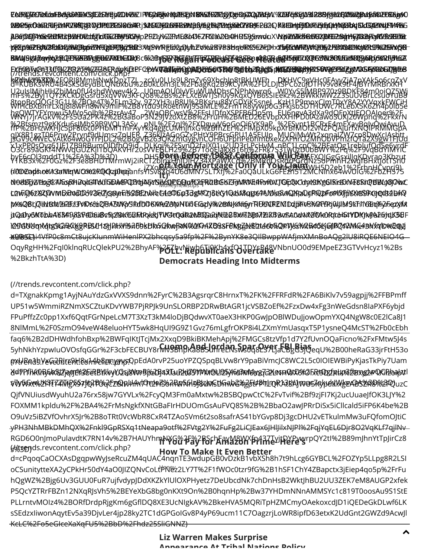O9uVz5iBZVfOvhrX5Jr%2B8oTRt0VcWbR8CxR4TZAoSVm6t2so8safrAS41bYGvp8Dj3gcDHU2vETkulmMw3uFQfomOJtiC yPH3NhMBkDMhQX%2Fnkl9GpRSXq1tNeapa9otf%2FVtg2Y%2FuFg2LiCJEax6JHlJilxNJPl%2FqjYqEL6Djr8O2VqKLf7qjlNv RGD6O0nJmoPulavdtK7RN14v%2B7HAUYhmA\XG%2F%2FSchFaWM8WXfp437TvjtPYPywrpQY2tI%2B89mJhnYtTpJirCz8<br>///www.faxay.com/start.com/slighedae s%3D) (//trends.revcontent.com/click.php? d=cPqoqCaOCXAsDgqpwWyJseRcuZM4qUAC4nqnTE3wdupGB0vDzkB1vbXSh8h7t9hLcg6GYBCL%2FOZYp5LLpg8R2LSI oCSunitytteXA2yCPkHr50dY4aO0JIZQNvCoLťiM\\ez2LY7T%2F1fWOc0tzr9fG%2B1hSF1ChY4ZBapctx3jEiep4qo5p%2FrFu [hQgWZ%2Bjg6Uv3GUU0FuR7ujfvdypJDdXKZkYlUlOXPHyetz7DeUbcdNk7chDnHsB2WktJhBU2UU3ZEK7eM8AUGP2xfek](http://trends.revcontent.com/click.php?d=H9zy9QzHq%2BkTDam4r6YyfSVyKUZmFCDI%2FcqCQBtHITNZdBigqoyUknEybWO6IfJI%2BRoOCiuXi5yZCNngs6s%2FoOrxmVMvPrGwrDKQ%2BdQbCu6UIKFVZbGkE21p0mmV9V3VL1DgaSeuNaR6QSSEFDlaYu5GL0JchsOcpIUOt4aYjmmfBD2EY8qnemhrgfBK5sXrOaEYjKqdfjlZZExarJYT2gLM5NwRe1cwTFrWuw5yfqp8lQmf1CAMahgjocJBVPcpjptkCwMxBo8vxZElfHAtV%2FUnCFIYOrhJEQY6ZaCUgJQf0dxr2KgV2PNRvOyqzq7yyTC53xltWVpJJerMc7BYjfElkP%2B1W3GGp6Y2iIGqzUJ9vF76Up08Fep%2FrshNv0%2FVDTeEr%2FY9yKMjoXvD%2FRdqgpsQMFCLx38cXzEoqmXOueZ2QYugwcSph2gRAOD9ST48f58VGV88ZznzO99SdT%2BusPxtb7q9ZnAkKboPed0Pmg%2F4fuYLDjj4xAyTnaLL%2B5nApYoQx%2Fckw52iV4f81TKoTISz3ZI3AGI15Ze23x92LWJtt%2BOKUjU9gFy%2B%2FwT3i4FYmj0jw%2FaVTx%2Fu%2F3ynD7wfmONSqFFM5D8b16jw3yZ33AjdqyO0xu%2BlCQzv6RjS6lCETiixzsQYNXOk2yOOy3paTApVY%2BhVvd6nTOX5VGqSC5Pa5AMJh8G%2BepvcBu%2B%2B9PNh2lO8X3%2Fk4itFCAu3TgwoTuMFjgeEfHefbgEcodeGkauaa4Hf%2BvM8541wOk922IbOKo2lo9OCePLNhyJ96H%2Fvaxei0R3PesDlCoD0pN6Uul0rOJLD3KRsnsoZmcRlYkPtfoCznnKeKupFUSUvw22Iag%3D%3D) P5QcYZTRrFBZn12NXqRJsVh5%2BEYeXbG8bg0nKXt9On%2B0hqnHp%2Bw37YHDmNNnAMMSYc1c819T0oosAu9S1StE PLLrntvMOIz4%2BORfDrdpRjgKm6gGflDQ8XE3UcNIgkAV%2BkeHVA5MQRiTpHZMCmyOAekoxcdJD1iQEDeGkDLwf6LK sSEdzxIiwonAqytEv5a39DjvLer4jp28ky2TC1dGPGoIGv8P4yP69ucm11C7OagzrjLoWR8ipfD63etxK2UdGnt2GWZd9AcwJl KcLC%2Fo5eGIceXaXqFU5%2BbD%2Fhdz25SliGNNZ) How To Make It Even Better  $\ddotmark$ 

QjfVNUiusdWyuhU2a76rx58jw7GYVLx%2FcyQM3Fm0aMxtw%2BSBQpwCtC%2FvTvif%2Bf9zjFI7Kj2ucUuaeJfOK3LJY%2 [FOXMM1kpldu%2F%2BA4%2FrMsNgkfXNtGBaFIrHDUOmGsAuFVQ8S%2B%2BbaO2awJPRrDiSx5iCllcald5iFP6K4be%2B](http://trends.revcontent.com/click.php?d=7i1nKlnyvK6ZjqlJEf3betBtkvyU2u8Wr9pzDJ4Xlau2t05TPMOLl2lyhdfM6mqc2LNHWX6fOIxc9D2Xtk%2Bxp2P1KiizoipVVWWxt%2Fft14MgX97JQiTUqCZBhvhm7Tt2HSomWNn9J8vMsDmwG4gptFPTLQKAt8AJWU5Kyp6XixgEABSZR8%2FQuzCQjfVNUiusdWyuhU2a76rx58jw7GYVLx%2FcyQM3Fm0aMxtw%2BSBQpwCtC%2FvTvif%2Bf9zjFI7Kj2ucUuaeJfOK3LJY%2FOXMM1kpldu%2F%2BA4%2FrMsNgkfXNtGBaFIrHDUOmGsAuFVQ8S%2B%2BbaO2awJPRrDiSx5iCllcald5iFP6K4be%2BO9uVz5iBZVfOvhrX5Jr%2B8oTRt0VcWbR8CxR4TZAoSVm6t2so8safrAS41bYGvp8Dj3gcDHU2vETkulmMw3uFQfomOJtiCyPH3NhMBkDMhQX%2Fnkl9GpRSXq1tNeapa9otf%2FVtg2Y%2FuFg2LiCJEax6JHlJilxNJPl%2FqjYqEL6Djr8O2VqKLf7qjlNvRGD6O0nJmoPulavdtK7RN14v%2B7HAUYhmNXG%2F%2BSchFayM8WXfp437TyjtDYPywrpQY2tI%2B89mJhnYtTpJirCz8s%3D)

)ZSCINUqKqtg%2&XggRBSUHzHJHikV%2FbkBlkGQk@fRN%2/FAXB9sFBkgZjN&1t46b%QEV}5s%0&C6JK6fBQ\$2WK64BN{q'lO%2@}] XU85C) e99rG1i4VfP0c8mCt8ujcKIunmWiHenlPX2bhcqsy5a9fp%2F%2BynYK8e3QIlBwppWAfjmXMnBoAQg2lU8iRQE6NEIO4G OqyRgHH%2FqI0klnqRUcQlekPU2%2BhyAF%26ZbvNiwp6Tj0Kh4xfQJTDYsB4&VNbnUO0d9EMpeEZ3GTVvHcyz1%2Bs

d=TXgnakKpmg1AyjNAuYdzGxVVXS9dnn%2FyrC%2B3AgsrqrC8HrnxT%2FK%2FFRFdR%2FA6BiKlv7v59agpjj%2FFBPm UP51w5WmmiRZNmXSCZtuKDvYWB7PjRPJk9UnSLORBP2DRwBtAGR1jcVSBZoEf%2FzxDw4xFg3nWeGdsn8IaPXF6ybjd FPuPffzZc0pp1Xxf6QqtFGrNpeLcM7T3XzT3kM4loDjBQdwvXT0aeX3HKP0GwJpOBlWDuJjowOpmYXQ4NgW8c0E2lCa8J1 8NlMmL%2F0SzmO94veW48eluoHYT5wk8HqUI9G9Z1Gvz76mLgfrOKP8i4LZXmYmUasqxT5P1ysneQ4McST%2Fb0cEbh faq6%2B2dDHWdhfohBxp%2BWFqIKtJTcjMx2XxqD9BkiBKMehApj%2FMGCs8tzVfp1d7Y2fUvnOQaFicno%2FxFMtw5J4s 5yhNkhYzpwIuOVOsfqGGr%2F3cbFECBUY8rMY9BIBKA8BSJAHdeNsWoq8LSYLjaCByBiaSeqU%2B00heRaG33jrFtH53o <del>@XURAdbY&GcRJrt&ML&bM&RDRDMS</del>QpEdA0rvP25uoYPZQSpqBLVw8rY9paBiVmcJC8WC2L5c0IOIEWBiPyKjasTkPiy7Uam YdFPfIWNB@k5bZjqnjEf3&&BYkkyVQsj8VvnBBzZB4XTauBtld9MMW@UQSY6tBM6hxz73X4\$AQtX6%3FRtQDzIpLk%2bxxgzhPQGBzogbxLl 5W5Gxw6LXFFTZZMjBS97JQIBYqCDQhW4w1OrL#ES6ARN5GI9BUn9SUGaW&LgFU\$hIIQRAF8AJWU57G/p6XIWgEABSZR89%2FQuzC

Democrats Heading Into Midterms

%2BkzhTtA%3D)

(//trends.revcontent.com/click.php?

ABGDAJPYSEEBERKRBBINDRUGTKAKGZENPBASHYDPDDY%2ZFME&6495ZFRX882&24HBDQEowdcXYd6BDNEB@SKGXBUSB2Bjf19GZBZ0FGAXQDZEUBC jAB&fD&ffPY\$&&BzMZQBZWDRdd5fk7kGZBYP5ASHY[pP](http://trends.revcontent.com/click.php?d=gXjNJvCh0TvRnLDF5UAyZyjc%2B7YJyfvsERTMLRfkMUWNLssvb4iaxFRvzid1DJW7I9qCxn4xyDe%2FR8IS%2BOVB16EY7uo37P7cxcsHVVdY3A0dCbTnjv2LrvxZIP%2Fgi1XVtsEsrMw%2FbvOHzj4UuFzpL%2BcmgL%2B5F%2FZozbnxJr%2F6eg1N0P5xfkmcYFsHFV99Jg1VDI%2FD0izlKtjS2O6y56%2BttJsimv%2Bqmb23IeFFu2QK3HHp5fKFv9EOqhpPAJ5kG4rVvzMf%2FuJlVjj4sS1m%2BWDZccToGCTHPAVypP9Dyv2ZMuXl4%2FNaVXz0hR595mduXVzpZMofwI%2Bi3Pmh%2BwTyWfUB0BYzEJIuR1dV8ULtudwjRzn7KugHF%2BB3XqPIYPFld2pJLlLEoxwK7P3bqekXSEAqHx1vySWMWQ0E2hz058HUMrUkUSWQSXAuJ9WpewqL%2Ff98BFcE%2FtEtEtar8c6kYh1197YEDt7FpGPExpCf4388nr080BcpHtojErQRFYWzC95aNQ96ip6sIdH%2FYmBTa8I33CQL2Ozce%2FloQUlyKj3EFCPekWblwmzqsCV850GNOmEfxuDagGpbFO9OpyPi5VVg68dZjWvGFp2ou0BhehZYhLY%3D)BDJV6ZZME&b496ZRX&A2&4HBDQ&wdcXWzMMk6f0BX6XjBNBDBGjHYGJBZBAG\$AX\$DZBDk<br>pFXj196ZBJXbZfUkDBj&bZBAFQybFFDBjPB6B[3X](http://trends.revcontent.com/click.php?d=gXjNJvCh0TvRnLDF5UAyZyjc%2B7YJyfvsERTMLRfkMUWNLssvb4iaxFRvzid1DJW7I9qCxn4xyDe%2FR8IS%2BOVB16EY7uo37P7cxcsHVVdY3A0dCbTnjv2LrvxZIP%2Fgi1XVtsEsrMw%2FbvOHzj4UuFzpL%2BcmgL%2B5F%2FZozbnxJr%2F6eg1N0P5xfkmcYFsHFV99Jg1VDI%2FD0izlKtjS2O6y56%2BttJsimv%2Bqmb23IeFFu2QK3HHp5fKFv9EOqhpPAJ5kG4rVvzMf%2FuJlVjj4sS1m%2BWDZccToGCTHPAVypP9Dyv2ZMuXl4%2FNaVXz0hR595mduXVzpZMofwI%2Bi3Pmh%2BwTyWfUB0BYzEJIuR1dV8ULtudwjRzn7KugHF%2BB3XqPIYPFld2pJLlLEoxwK7P3bqekXSEAqHx1vySWMWQ0E2hz058HUMrUkUSWQSXAuJ9WpewqL%2Ff98BFcE%2FtEtEtar8c6kYh1197YEDt7FpGPExpCf4388nr080BcpHtojErQRFYWzC95aNQ96ip6sIdH%2FYmBTa8I33CQL2Ozce%2FloQUlyKj3EFCPekWblwmzqsCV850GNOmEfxuDagGpbFO9OpyPi5VVg68dZjWvGFp2ou0BhehZYhLY%3D)qBWREf6BzjDyHLEV%2f3B783HqUkSS&ZFCDIxXSfXcXMRDVKJBXSZFBD6S\$CHKjVRBFMZB pfCh962B,%BHuRCG%2Bz6cBNQg6FJBj?BB3XqBWRE6}2;D}J||1EV%2B7B3HqURS9E2EDIxY5fA\%AB}\/QB}\$2FB0\\$\$B||KjyRD}%2EFXQB<br>BMM9Q\$|Bqv}%RFLQE%BBFg[50&RKL%ED}Sc%2Bj/5|BV&B}{F|FTOVR%{FC%B&B3p4&BAF@FLQFE%XXE8%B9E6BHQF9&F}6%RHF}%RZ EXFORTVORNE STOVERD 2009/2009 ER dig KFEPF CPAK**TGH LYROBEHGE OF FAGTEH (ALFERE) INGLAHGEN ARFEREN ZAVILE FIZIKE DIGIZE**<br>(//trends.revcontent.com/click.php? bENWBYG8PY04EQRI8MmHNWKDRzTZLz6cXu0LUs9L8pzyg9Xb6blp8tBkWYFDLDjRYHVC9BYH4V5GYXGiAZjBYAKFRBFXR7Y kedwkY688%2FOR18MmHNwKDpzTZL U2uIslMjhHHZbjMq0fU4shdWwev4k2 8topBoOOGt3G1L%2BOg4T%2FLm32v h&QWTYFXmwu5MVp5qlb%2BztAy47 %2Btsmzt9gKKdu6sJMbS9B9VQL3ASv gJX8R1gzT06Pnw2Prynf9dUmsz7pUER x1xPP0sQX761JF1ZB9RBumOlDfhQ9id~DLKqj%2F5ynD2faIX01u2UD3rLPcHxM\_nPC1LcpG%2RFatQg1reblufQdSe6yrdF<br>O3cr89aGK74NWvqGUZKjI1bQAkVHr20sVVEgLH25yx2B71ooElakx816h%2FRk7s3Tw0zD0bBWV%2Fq%2F9vqBdYIMYiCF DYE6COl3mddT1%2FA%3D%3D; WWW.PSSOPhH3**Born Before 1985? California Will Faw**EXQJG&GrylloKDYFag3Kh2w U2utslMihHUZbiMq0fU4shdWwev4k2FQU9mAQU0lyVFuWUWRh5GNPhNwrq6.i-W0YyS5[MRR97029BDKF84m00jQZ5Wi<br>mFs%2ByJ1QY2KCRDgGsrd5xqVVw3KFQ68%2Bs%2FLXcBW1JSRh5GNPhNwrq6.i-W0YyS5[MRR970223SUUVBrLcsuoYuB8J 9Z2XH3uB8W%2BKsnu88YGDYiK5snel 2WaOBCwsV%2FFsLIDfnXSPFB6Op5m pNL%2F2nJ%2FXDguyV6oGoOi6YK9aP Z36KJZAGoGZxPHtY9PBrsGPU1A5EUIp The SAM SOZM SCOPID IMINIVIZINC IZORICAM MOREGO (ONITY IF YOU CLAIM CLAIM ISON) THE WORLD INCOLLULLY DKHVC9gVHc0FAyyZjA7pXAk5o6cqZxV W0YvS5lMBP970z9BDKF84m0oiQZ5Wj KzH1P9mpxClmT9xY8A2YYY9xkFWCH EU6ngvA3dXa9dQFpXtJEOOAIoer%2F %2FSynt1BCRxE4mEXavBqIvOwiAvuD MUQjMvWt2xqnaIZW7cp8DwXcIAsbtt nPC1LcpC%2BFatOg1rebIufQdSe6yrdF WUKQ6UAFXQJGgG&xillqKDvrao3Kbzut \\$DZeb1%<del>2</del>Fcbp}#**G**YP hZYhLY%3D) WfHcBXBmrLxdJ8I8WFn8WN9mlF%2B8Ytau9tRoetnWJ9SaMLE%2FmTR8yywp0G3FkjsbSDTHUWc7RLebX5K6Zh4p0lb5e WNYj7jrAGkV%2Fš5Ua2PK4z%2BGaBoP3N29JVzoXtZB8%2FruH%2BMED26EVbpXXHfPD0lAzawoSUXj20Wpnq%2FKxrN ffP%2BHzwXHJc5pF8t6c0PHbMf1mFAyYkq4ggcUMHjnxG%2BfhZEr%2FlMpX09kpXrBfMOf2vN2PQAjurfXNQIPRMMGpA jsGV9c4WECVAtK64w6GYYFJDL2%2B5gVB263QKZmGygvhCOH6UFphPeBhmbXeXzXF1lYO2MnObVPmzfQTa2X9gw1FjUd\_ d|+0&BTJWE10ZRAAS9BH7QqAG4TUUfG1DM8AQB{q|J4G\xJQ||6SQ||GQ||9fQZqR||2|BG|6ZFj|MWNE4PrV0WLJGFQXCldyrS1KgG||SisBXNTE8KitQB|BUg8JObxC L2WFQ%2BZQVMDBndDD%2ElZjS6tgf1%SOEENWb04SOGpJ3gMPZj8eG1QzU8qgx4AMk8aQXfaOqF@pFmP19PjVXNBS9xGQd84B4Q px%QBLjQbYB1%2FEF1FVIO6%2QBA7UWpY1FufDDKWA6Z8NNTU6C6qcJY!%2fBNJKNH6yrREISUREMDz1jbFkn5%2F9PgWJls/19tF11Y8Enq%2F6qzXnX jtQady3MTzbA6B4BA6P4Ib6uBc%QYBk&GRHzqkkJYWCtQdlR2&BQGzqiM%2BBxw72UB37Z1XBBuz5A0d1WXFfO1A0Pq1cb4S4YDRJ1xpA26JqK3UF It)

EABGFACFOLUSFBUADMHKBJEZDF19ZDHZXZIP%QHEWW%2FEFJMBW6ZWQQJQ4HqXXQJAHAV%2B5FjKGU%12BBFj%2LQZK%ZYDAJA%DHCR&g4O E URSZIETRE ÚSFYNYAMTIKY KIEZETT JADHAYZ I PVEJHSMV NATETJN BIKATEZTO DZHOJZKOJAH PV ZEN TREUM 28B FYRLOMANYM LANGITERSJA O<br>DIBRETO MAHSFILNKI AR ZI PUBOBED SOMA JALAZHI BIK BUHBBYSZERPAHMALI BEHE B2O KRIUMNIK KNEGHOPNISTA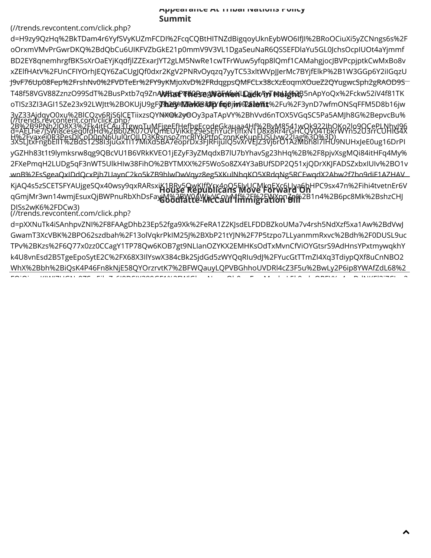### Appearance At Tribal Nations Policy Summit

(//trends.revcontent.com/click.php?

[d=H9zy9QzHq%2BkTDam4r6YyfSVyKUZmFCDI%2FcqCQBtHITNZdBigqoyUknEybWO6IfJI%2BRoOCiuXi5yZCNngs6s%2F](http://trends.revcontent.com/click.php?d=H9zy9QzHq%2BkTDam4r6YyfSVyKUZmFCDI%2FcqCQBtHITNZdBigqoyUknEybWO6IfJI%2BRoOCiuXi5yZCNngs6s%2FoOrxmVMvPrGwrDKQ%2BdQbCu6UIKFVZbGkE21p0mmV9V3VL1DgaSeuNaR6QSSEFDlaYu5GL0JchsOcpIUOt4aYjmmfBD2EY8qnemhrgfBK5sXrOaEYjKqdfjlZZExarJYT2gLM5NwRe1cwTFrWuw5yfqp8lQmf1CAMahgjocJBVPcpjptkCwMxBo8vxZElfHAtV%2FUnCFIYOrhJEQY6ZaCUgJQf0dxr2KgV2PNRvOyqzq7yyTC53xltWVpJJerMc7BYjfElkP%2B1W3GGp6Y2iIGqzUJ9vF76Up08Fep%2FrshNv0%2FVDTeEr%2FY9yKMjoXvD%2FRdqgpsQMFCLx38cXzEoqmXOueZ2QYugwcSph2gRAOD9ST48f58VGV88ZznzO99SdT%2BusPxtb7q9ZnAkKboPed0Pmg%2F4fuYLDjj4xAyTnaLL%2B5nApYoQx%2Fckw52iV4f81TKoTISz3ZI3AGI15Ze23x92LWJtt%2BOKUjU9gFy%2B%2FwT3i4FYmj0jw%2FaVTx%2Fu%2F3ynD7wfmONSqFFM5D8b16jw3yZ33AjdqyO0xu%2BlCQzv6RjS6lCETiixzsQYNXOk2yOOy3paTApVY%2BhVvd6nTOX5VGqSC5Pa5AMJh8G%2BepvcBu%2B%2B9PNh2lO8X3%2Fk4itFCAu3TgwoTuMFjgeEfHefbgEcodeGkauaa4Hf%2BvM8541wOk922IbOKo2lo9OCePLNhyJ96H%2Fvaxei0R3PesDlCoD0pN6Uul0rOJLD3KRsnsoZmcRlYkPtfoCznnKeKupFUSUvw22Iag%3D%3D) oOrxmVMvPrGwrDKQ%2BdQbCu6UIKFVZbGkE21p0mmV9V3VL1DgaSeuNaR6QSSEFDlaYu5GL0JchsOcpIUOt4aYjmmf BD2EY8qnemhrgfBK5sXrOaEYjKqdfjlZZExarJYT2gLM5NwRe1cwTFrWuw5yfqp8lQmf1CAMahgjocJBVPcpjptkCwMxBo8v xZElfHAtV%2FUnCFIYOrhJEQY6ZaCUgJQf0dxr2KgV2PNRvOyqzq7yyTC53xltWVpJJerMc7BYjfElkP%2B1W3GGp6Y2iIGqzU J9vF76Up08Fep%2FrshNv0%2FVDTeEr%2FY9yKMjoXvD%2FRdqgpsQMFCLx38cXzEoqmXOueZ2QYugwcSph2gRAOD9S T48f58VGV88ZznzO99SdT%2BusPxtb7q9ZnA**WKbaPT#RB3@9W6FAfeMLDaidKAYTFPELghR**B5nApYoQx%2Fckw52iV4f81TK oTISz3ZI3AGI15Ze23x92LWJtt%2BOKUjU9gF**yPhæ}%12FavkT&iUFp/fiqi0jiw%2&be\nt**%2Fu%2F3ynD7wfmONSqFFM5D8b16jw 3yZ33AjdqyO0xu%2BlCQzv6RjS6lCETiixzsQYNX@k2y@Oy3paTApVY%2BhVvd6nTOX5VGqSC5Pa5AMJh8G%2BepvcBu%<br>(//trends.revcontent.com/click.php? – ۱۳۰۰–۲۵۰۰ Fayer – ۱۳۰۰–۲۰۰۰ (۱۳۰۰–۲۰۰۰) 2B%2B9PNh2lO8X3%2Fk4itFCAu3TgwoTuMFjgeEfHefbgEcodeGkauaa4Hf%2ByM8541wOk922IbOKo2lo9OCePLNhyJ96<br>d=AELhe7JSWi8ceseq0fdHd%2Bb0ZK07OVQmEUViKkE29eSEhYucFtlflxN1D8x8Rr4rGHCQV04TbkrWYn52U3rrCUHIG4X H%2Fvaxei0R3PesDlCoD0pN6Uul0rOJLD3KRsnsoZmcRlYkPtfoCznnKeKupEUSUvw22Iag%3D%3D)<br>3X5LJtxFngbEllT%2BdS12S8I3juGxTl17MiXd5BA7eoprDx3FJRFijuIQ5vXrVEJZ3Vj6rO1AzMbh8l7IHU9NUHxJeE0ug16DrPI yGZHh83t1t9lymksrw8qg9QBcVU1B6VRkKVEO1jEZyF3yZMqdxB7lU7bYhavSg23hHq%2B%2F8pjvXsgMQi84itHFq4My% [2FXePmqH2LUDg5qF3nWT5UlkHIw38FihO%2BYTMXX%2F5WoSo8ZX4Y3aBUfSDP2Q51xjQDrXKJFADSZxbxIUIv%2BO1v](http://trends.revcontent.com/click.php?d=AELhe7JSWi8ceseq0fdHd%2Bb0ZK07OVQmEUViKkE29eSEhYucFtlfIxN1D8x8Rr4rGHCQV04TbkrWYn52U3rrCUHIG4X3X5LJtxFngbElIT%2BdS12S8I3juGxTl17MiXd5BA7eoprDx3FJRFijuIQ5vXrVEJZ3Vj6rO1AzMbh8l7IHU9NUHxJeE0ug16DrPIyGZHh83t1t9lymksrw8qg9QBcVU1B6VRkKVEO1jEZyF3yZMqdxB7lU7bYhavSg23hHq%2B%2F8pjvXsgMQi84itHFq4My%2FXePmqH2LUDg5qF3nWT5UlkHIw38FihO%2BYTMXX%2F5WoSo8ZX4Y3aBUfSDP2Q51xjQDrXKJFADSZxbxIUIv%2BO1vwnB%2FsSgeaQxIDdQcxPjh7UaynC2ko5kZB9hlwDwVqyz8eg5XKulNhqKO5XRdqNg5RCEwqdX2Abw2f7bo9diF1AZHAVKjAQ4s5zSCETSFYAUjgeSQx40wsy9qxRARsxiK1BRv5QwKJffYrx4oQ5FJyUCMkqEXc6LIya6bHPC9sx47n%2Fihi4tvetnEr6VqGmjMr3wn14wmjEsuxQjBWPnuRbXhDsFayjM%2BW0AWjyVCoivMf%2F%2FWXpnZp%2B1n4%2B6pc8Mk%2BshzCHJDISs2wK6%2FDCw3) wnB%2FsSgeaQxIDdQcxPjh7UaynC2ko5kZB9hlwDwVqyz8eg5XKulNhqKO5XRdqNg5RCEwqdX2Abw2f7bo9diF1AZHAV KjAQ4s5zSCETSFYAUjgeSQx40wsy9qxRARsxiK1BRv5QwKJffYrx4oQ5FJyUCMkqEXc6LIya6bHPC9sx47n%2Fihi4tvetnEr6V<br>House Move Forward On week award and the serve and the serve of the serve of the server and the server of the qGmjMr3wn14wmjEsuxQjBWPnuRbXhDsFay**iN%2FXYQéYWYC&UMf#YAF%2FWXXn76n**%2B1n4%2B6pc8Mk%2BshzCHJ DISs2wK6%2FDCw3) (//trends.revcontent.com/click.php? d=pXXNuTk4iSAnhpvZNI%2F8FAAgDhb23Ep52fga9Xk%2FeRA1Z2KJsdELFDDBZkoUMa7v4rsh5NdXzf5xa1Aw%2BdVwJ

[GwamT3XcVBK%2BPO62szdbah%2F13olVqkrPkIM25J%2BXbP21tYJN%2F7P5tzpo7LLyanmmRxvc%2Bdh%2F0DUSL9uc](http://trends.revcontent.com/click.php?d=Jc6opy94msvRM45mF7G4N0wZWGclFocEqMs08y0tqk%2FOXISAG3v79Kel%2BMf%2FyIpBFevz5nhXU7urkt%2B1MqjVJS2Q5wlOJ2BRKaikXPpg9I%2FCRDlfmgIkNcgu7Cwe34e7n7sEJmHRpBeU7hC1VzC6MpUbAOpVoxXJJ8jO5RBk8q525kP3LrOQ4Pujc1MXB7ojXl4uJF%2BhD9sVin269UZnEjRiJAPS7U9weQuW470GCxMa6JwJ%2FxUYV2nYBtEnLtCO5bUOQXFwZ8D54g98jbwEC072qQ%2F2h3oBo9w%2Bo3kwqFTLvA8i699fOq761ginj8Os6SzG5FHA2TXScSvG08%2FmnzSkzVwXl%2F0e6ip%2FEkiBXcYg7Jq01hVE%2BdpHZtt2MOmfANhiYCC907APKZrZlTmwD8wFAZsHdSnrvE%2FqHu2uc6iWfuXXaAzN06yzVZeW8mmUuDFG5oqebaCCqbs3O7jY1y1IrY2z29ui3Z0ICUjDjzlSwm%2BxIooeHAw0o1g3L9uziTFE6Z%2FLxQ6hYak2zOHoyUrqKM%2FVLZ5jb4f58Ea6PjBmJrFpBDHH8ofFEH7OnstZnsjk%2Fpd2AFmW4o4wx1qdKBpsFucJG4Mdn0kNDj6HHZo%3D) TPv%2BKzs%2F6Q77x0zz0CCagY1TP78Qw6KOB7gt9NLIanOZYKX2EMHKsOdTxMvnCfViOYGtsrS9AdHnsYPxtmywqkhY k4U8vnEsd2B5TgeEpoSytE2C%2FX68X3IlYswX384cBk2SjdGd5zWYQqRIu9dJ%2FYucGtTTmZI4Xq3TdiypQXf8uCnNBO2 WhX%2Bbh%2BiQsK4P46Fn8kNjE58QYOrzrvtK7%2BFWQauyLQPVBGhhoUVDRl4cZ3F5u%2BwLy2P6ip8YWAfZdL68%2 FQiQi KIWIZUGN 9ZS 51 Z 6I9DSIX989ZEMAZUM N Qh0 F M h L5k9 d OREYX 4 DdNKEL2jZCJ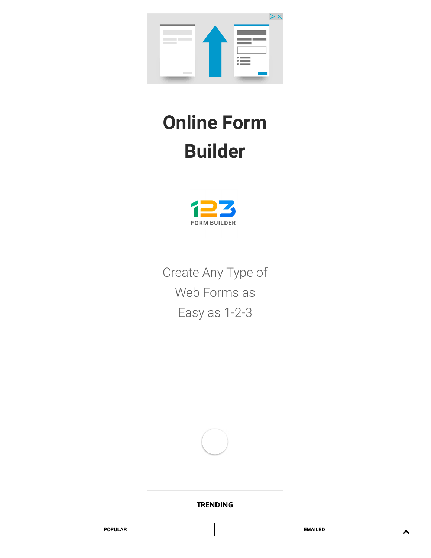

## Online Form Builder



Create Any Type of Web Forms as Easy as 1-2-3

TRENDING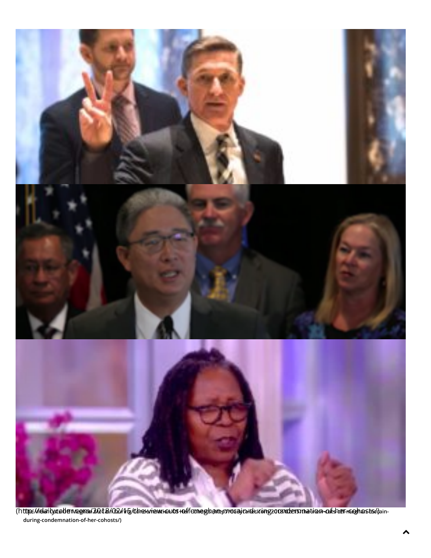

(http://daritycaderwegna/2018/02/15/tbearieveriouts-reffconeglantypycaajcarducing2003/obersynation-of-sher-reghasts/dainduring-condemnation-of-her-cohosts/)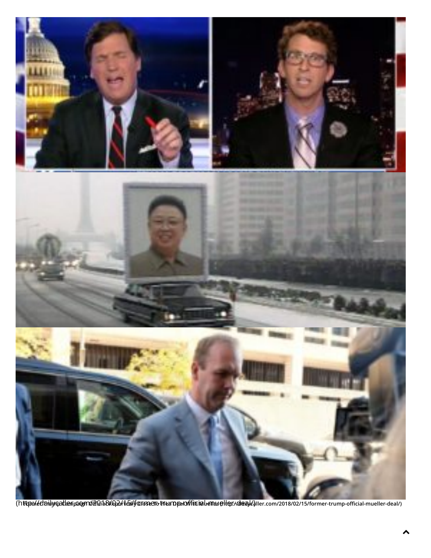

(http://daily/qadler.pagm/b20168/Qad1&Viparosenotruerpanoffitsimbenuu eller://denu/2018/02/15/former-trump-official-mueller-deal/)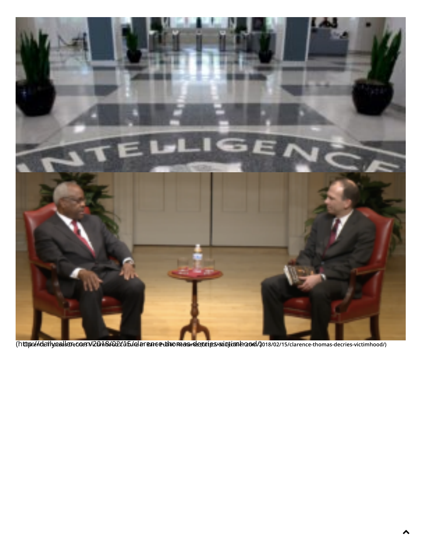

(httip://dailycallarecom/2018/02/15/clarence-thiomas-decries/wintimhood/) 018/02/15/clarence-thomas-decries-victimhood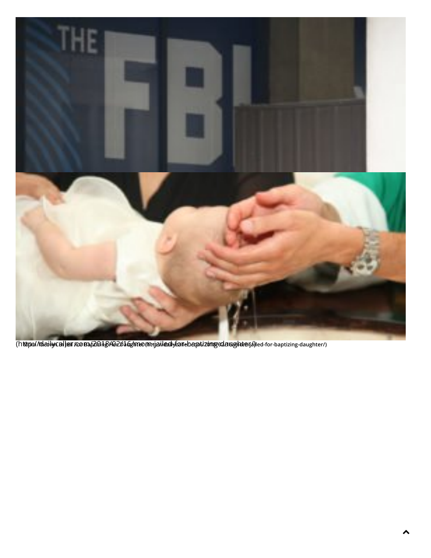

(http://dabilycaller.com/2018/02/16/mom-jailed-for-baptizing-daughter/) Mom-in India-for-baptizing-daughter/)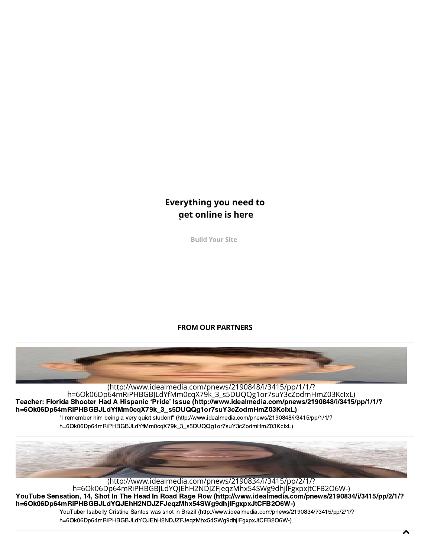### Everything you need to get online is here

Build Your Site

### FROM OUR PARTNERS



Teacher: Florida Shooter Had A Hispanic 'Pride' Issue (http://̄www.idealmedia.com/pnews/2190848/i/3415́/pp/1/1/?<br>h=6Ok06Dp64mRiPHBGBJLdYfMm0cqX79k\_3\_s5DUQQg1or7suY3cZodmHmZ03KcIxL) h=6Ok06Dp6[4mRiPHBGBJLdYfMm0cqX79k\\_3\\_s5DUQQg1or7suY3cZodmHmZ03KcIxL\)](http://www.idealmedia.com/pnews/2190848/i/3415/pp/1/1/?h=6Ok06Dp64mRiPHBGBJLdYfMm0cqX79k_3_s5DUQQg1or7suY3cZodmHmZ03KcIxL)<br>11/1/1/19 Tremember him being a very quiet student" (http://www.idealmedia.com/pnews/2190848/i/3415/pp/1/1/? (http://www.idealmedia.com/pnews/2190848/i/3415/pp/1/1/? [h=6Ok06Dp64mRiPHBGBJLdYfMm0cqX79k\\_3\\_s5DUQQg1or7suY3cZodmHmZ03KcIxL\)](http://www.idealmedia.com/pnews/2190848/i/3415/pp/1/1/?h=6Ok06Dp64mRiPHBGBJLdYfMm0cqX79k_3_s5DUQQg1or7suY3cZodmHmZ03KcIxL)

h=6Ok06Dp64mRiPHBGBJLdYfMm0cqX79k\_3\_s5DUQQg1or7suY3cZodmHmZ03KclxL)  $h=60$  km  $\mu$  and  $\mu$  and  $\mu$  and  $\mu$  and  $\mu$  and  $\mu$  and  $\mu$ 



h=6Ok06Dp64mRiPHBGBJLdYQJEhH2NDJZFJeqzMhx54SWg9dhjlFgxpxJtCFB2O6W-) YouTuber Isabelly Cristine Santos was shot in Brazil (http://www.idealmedia.com/pnews/2190834/i/3415/pp/2/1/? (http://www.idealmedia.com/pnews/2190834/i/3415/pp/2/1/? [h=6Ok06Dp64mRiPHBGBJLdYQJEhH2NDJZFJeqzMhx54SWg9dhjlFgxpxJtCFB2O6W-\)](http://www.idealmedia.com/pnews/2190834/i/3415/pp/2/1/?h=6Ok06Dp64mRiPHBGBJLdYQJEhH2NDJZFJeqzMhx54SWg9dhjlFgxpxJtCFB2O6W-)<br>YouTube Sensation, 14, Shot In The Head In Road Rage Row (http://www.idealmedia.com/pnews/2190834/i/3415/pp/2/1/?

 $\ddotmark$ 

h=6Ok06Dp64mRiPHBGBJLdYQJEhH2NDJZFJeqzMhx54SWg9dhjlFgxpxJtCFB2O6W-) h=6Ok00p64mRiPhBdata additionalistical veqdifficationgemp.grapheter=2006%-)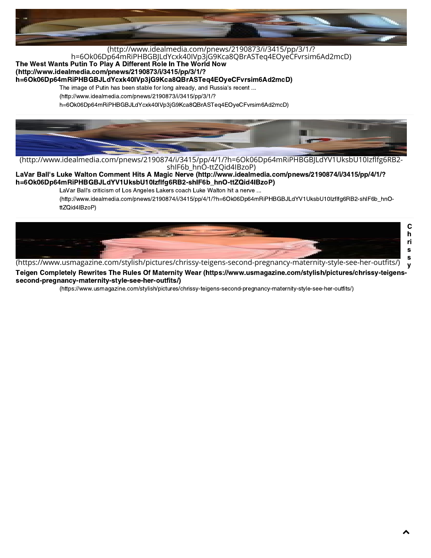

### [The West Wants Putin To Play A Different Role In The World Now](http://www.idealmedia.com/pnews/2190873/i/3415/pp/3/1/?h=6Ok06Dp64mRiPHBGBJLdYcxk40IVp3jG9Kca8QBrASTeq4EOyeCFvrsim6Ad2mcD)<br>(http://www.idealmedia.com/pnews/2190873/i/3415/pp/3/1/? (http://www.idealmedia.com/pnews/2190873/i/3415/pp/3/1/? [h=6Ok06Dp64mRiPHBGBJLdYcxk40IVp3jG9Kca8QBrASTeq4EOyeCFvrsim6Ad2mcD\)](http://www.idealmedia.com/pnews/2190873/i/3415/pp/3/1/?h=6Ok06Dp64mRiPHBGBJLdYcxk40IVp3jG9Kca8QBrASTeq4EOyeCFvrsim6Ad2mcD)

h=6Ok06Dp64mRiPHBGBJLdYcxk40IVp3jG9Kca8QBrASTeq4EOyeCFvrsim6Ad2mcD)

The image of Putin has been stable for long already, and Russia's recent ...

 $(\text{http://www.idealmedia.com/pnews/2190873/i/3415/pp/3/1/?})$ 

h=6Ok06Dp64mRiPHBGBJLdYcxk40IVp3jG9Kca8QBrASTeq4EOyeCFvrsim6Ad2mcD)  $h_{\text{eff}}$  and  $h_{\text{eff}}$  and  $h_{\text{eff}}$  and  $h_{\text{eff}}$  and  $h_{\text{eff}}$  and  $h_{\text{eff}}$  and  $h_{\text{eff}}$ 



[\(http://www.idealmedia.com/pnews/2190874/i/3415/pp/4/1/?h=6Ok06Dp64mRiPHBGBJLdYV1UksbU10Izfg6RB2](http://www.idealmedia.com/pnews/2190874/i/3415/pp/4/1/?h=6Ok06Dp64mRiPHBGBJLdYV1UksbU10Izflfg6RB2-shIF6b_hnO-ttZQid4IBzoP) shIF6b\_hnO-ttZQid4IBzoP)

LaVar Ball['s Luke Walton Comment Hits A Magic Nerve \(http://www.idealmedia.com/pnews/2190874/i/3415/pp/4/1/?](http://www.idealmedia.com/pnews/2190874/i/3415/pp/4/1/?h=6Ok06Dp64mRiPHBGBJLdYV1UksbU10Izflfg6RB2-shIF6b_hnO-ttZQid4IBzoP)<br>h=6Ok06Dp64mRiPHBGBJLdYV1UksbU10lzflfg6RB2-shlF6b\_hnO-ttZQid4lBzoP)

LaVar Ball's criticism of Los Angeles Lakers coach Luke Walton hit a nerve ...

(http://www.idealmedia.com/pnews/2190874/i/3415/pp/4/1/?h=6Ok06Dp64mRiPHBGBJLdYV1UksbU10lzflfq6RB2-shlF6b hnOttZQid4IBzoP)  $\overline{\phantom{a}}$ 



[\(https://www.usmagazine.com/stylish/pictures/chrissy-teigens-second-pregnancy-maternity-style-see-her-outts/\)](https://www.usmagazine.com/stylish/pictures/chrissy-teigens-second-pregnancy-maternity-style-see-her-outfits/)

(intps://www.usmagazine.com/stynsm/pictures/cmissy-teigens-second-pregnancy-matermty-style-see-ner-outnts/) - y<br>Teigen Completely Rewrites The Rules Of Maternity Wear (https://www.usmagazine.com/stylish/pictures/chrissy-te y second-pregnancy-maternity-style-see-her-outfits/)

> (https://www.usmagazine.com/stylish/pictures/chrissy-teigens-second-preg[nancy-maternity-style-see-her-outfits/\)](https://www.usmagazine.com/stylish/pictures/chrissy-teigens-second-pregnancy-maternity-style-see-her-outfits/) (https://www.usmagazine.com/stylish/pictures/chrissy-teigens-second-pregnancy-maternity-style-see-her-outfits/)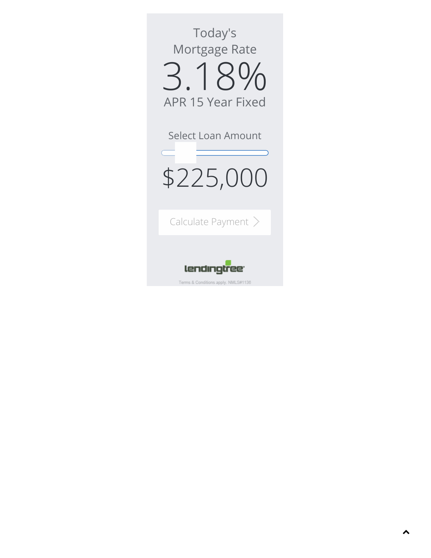